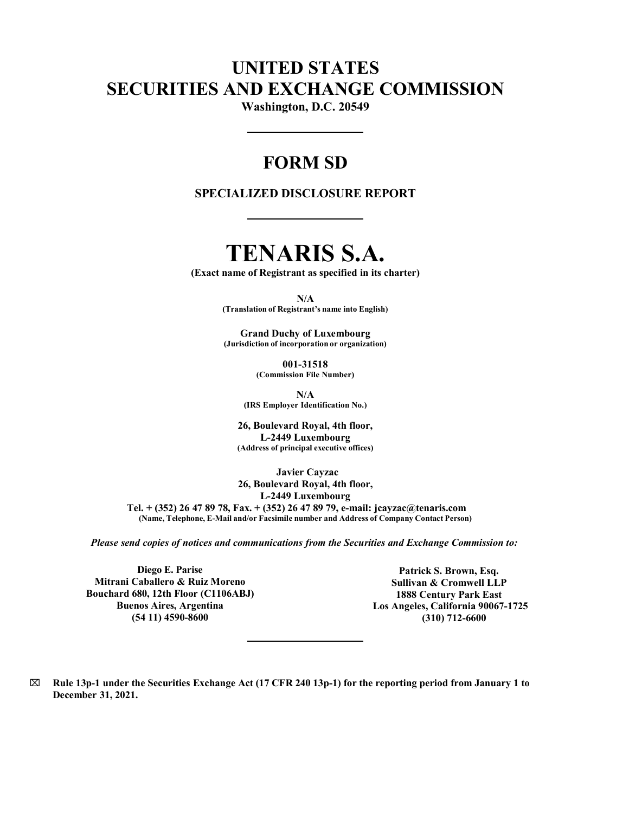## UNITED STATES SECURITIES AND EXCHANGE COMMISSION

Washington, D.C. 20549

## FORM SD

### SPECIALIZED DISCLOSURE REPORT

# TENARIS S.A.

(Exact name of Registrant as specified in its charter)

N/A

(Translation of Registrant's name into English)

Grand Duchy of Luxembourg (Jurisdiction of incorporation or organization)

> 001-31518 (Commission File Number)

N/A (IRS Employer Identification No.)

26, Boulevard Royal, 4th floor, L-2449 Luxembourg (Address of principal executive offices)

Javier Cayzac 26, Boulevard Royal, 4th floor, L-2449 Luxembourg Tel. + (352) 26 47 89 78, Fax. + (352) 26 47 89 79, e-mail: jcayzac@tenaris.com (Name, Telephone, E-Mail and/or Facsimile number and Address of Company Contact Person)

*Please send copies of notices and communications from the Securities and Exchange Commission to:*

Diego E. Parise Mitrani Caballero & Ruiz Moreno Bouchard 680, 12th Floor (C1106ABJ) Buenos Aires, Argentina (54 11) 4590-8600

Patrick S. Brown, Esq. Sullivan & Cromwell LLP 1888 Century Park East Los Angeles, California 90067-1725 (310) 712-6600

 $\boxtimes$  Rule 13p-1 under the Securities Exchange Act (17 CFR 240 13p-1) for the reporting period from January 1 to December 31, 2021.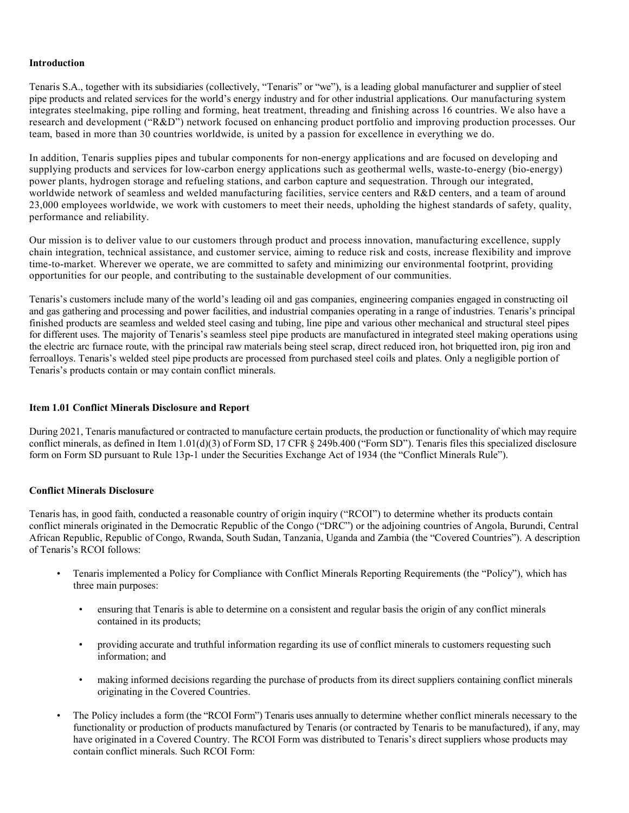#### **Introduction**

Tenaris S.A., together with its subsidiaries (collectively, "Tenaris" or "we"), is a leading global manufacturer and supplier of steel pipe products and related services for the world's energy industry and for other industrial applications. Our manufacturing system integrates steelmaking, pipe rolling and forming, heat treatment, threading and finishing across 16 countries. We also have a research and development ("R&D") network focused on enhancing product portfolio and improving production processes. Our team, based in more than 30 countries worldwide, is united by a passion for excellence in everything we do.

In addition, Tenaris supplies pipes and tubular components for non-energy applications and are focused on developing and supplying products and services for low-carbon energy applications such as geothermal wells, waste-to-energy (bio-energy) power plants, hydrogen storage and refueling stations, and carbon capture and sequestration. Through our integrated, worldwide network of seamless and welded manufacturing facilities, service centers and R&D centers, and a team of around 23,000 employees worldwide, we work with customers to meet their needs, upholding the highest standards of safety, quality, performance and reliability.

Our mission is to deliver value to our customers through product and process innovation, manufacturing excellence, supply chain integration, technical assistance, and customer service, aiming to reduce risk and costs, increase flexibility and improve time-to-market. Wherever we operate, we are committed to safety and minimizing our environmental footprint, providing opportunities for our people, and contributing to the sustainable development of our communities.

Tenaris's customers include many of the world's leading oil and gas companies, engineering companies engaged in constructing oil and gas gathering and processing and power facilities, and industrial companies operating in a range of industries. Tenaris's principal finished products are seamless and welded steel casing and tubing, line pipe and various other mechanical and structural steel pipes for different uses. The majority of Tenaris's seamless steel pipe products are manufactured in integrated steel making operations using the electric arc furnace route, with the principal raw materials being steel scrap, direct reduced iron, hot briquetted iron, pig iron and ferroalloys. Tenaris's welded steel pipe products are processed from purchased steel coils and plates. Only a negligible portion of Tenaris's products contain or may contain conflict minerals.

#### Item 1.01 Conflict Minerals Disclosure and Report

During 2021, Tenaris manufactured or contracted to manufacture certain products, the production or functionality of which may require conflict minerals, as defined in Item 1.01(d)(3) of Form SD, 17 CFR § 249b.400 ("Form SD"). Tenaris files this specialized disclosure form on Form SD pursuant to Rule 13p-1 under the Securities Exchange Act of 1934 (the "Conflict Minerals Rule").

#### Conflict Minerals Disclosure

Tenaris has, in good faith, conducted a reasonable country of origin inquiry ("RCOI") to determine whether its products contain conflict minerals originated in the Democratic Republic of the Congo ("DRC") or the adjoining countries of Angola, Burundi, Central African Republic, Republic of Congo, Rwanda, South Sudan, Tanzania, Uganda and Zambia (the "Covered Countries"). A description of Tenaris's RCOI follows:

- Tenaris implemented a Policy for Compliance with Conflict Minerals Reporting Requirements (the "Policy"), which has three main purposes:
	- ensuring that Tenaris is able to determine on a consistent and regular basis the origin of any conflict minerals contained in its products;
	- providing accurate and truthful information regarding its use of conflict minerals to customers requesting such information; and
	- making informed decisions regarding the purchase of products from its direct suppliers containing conflict minerals originating in the Covered Countries.
- The Policy includes a form (the "RCOI Form") Tenaris uses annually to determine whether conflict minerals necessary to the functionality or production of products manufactured by Tenaris (or contracted by Tenaris to be manufactured), if any, may have originated in a Covered Country. The RCOI Form was distributed to Tenaris's direct suppliers whose products may contain conflict minerals. Such RCOI Form: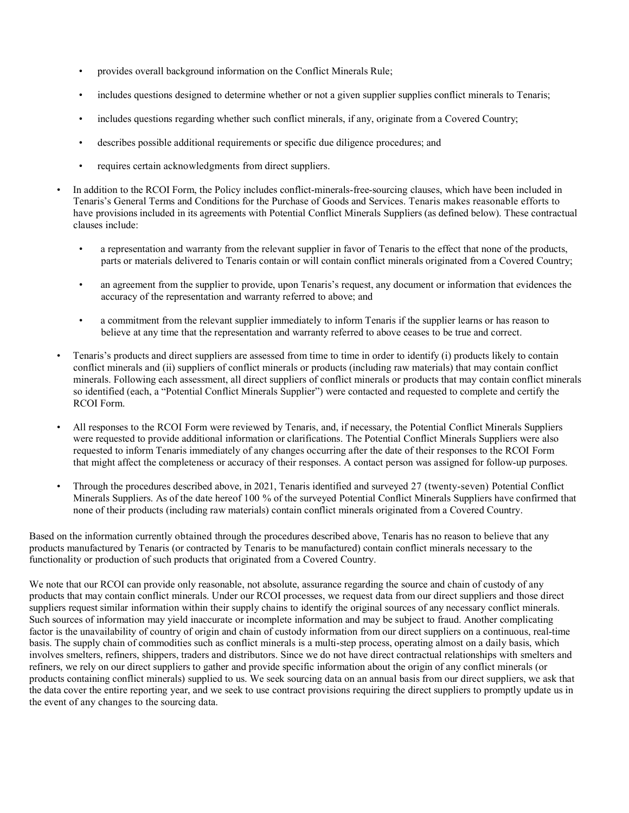- provides overall background information on the Conflict Minerals Rule;
- includes questions designed to determine whether or not a given supplier supplies conflict minerals to Tenaris;
- includes questions regarding whether such conflict minerals, if any, originate from a Covered Country;
- describes possible additional requirements or specific due diligence procedures; and
- requires certain acknowledgments from direct suppliers.
- In addition to the RCOI Form, the Policy includes conflict-minerals-free-sourcing clauses, which have been included in Tenaris's General Terms and Conditions for the Purchase of Goods and Services. Tenaris makes reasonable efforts to have provisions included in its agreements with Potential Conflict Minerals Suppliers (as defined below). These contractual clauses include:
	- a representation and warranty from the relevant supplier in favor of Tenaris to the effect that none of the products, parts or materials delivered to Tenaris contain or will contain conflict minerals originated from a Covered Country;
	- an agreement from the supplier to provide, upon Tenaris's request, any document or information that evidences the accuracy of the representation and warranty referred to above; and
	- a commitment from the relevant supplier immediately to inform Tenaris if the supplier learns or has reason to believe at any time that the representation and warranty referred to above ceases to be true and correct.
- Tenaris's products and direct suppliers are assessed from time to time in order to identify (i) products likely to contain conflict minerals and (ii) suppliers of conflict minerals or products (including raw materials) that may contain conflict minerals. Following each assessment, all direct suppliers of conflict minerals or products that may contain conflict minerals so identified (each, a "Potential Conflict Minerals Supplier") were contacted and requested to complete and certify the RCOI Form.
- All responses to the RCOI Form were reviewed by Tenaris, and, if necessary, the Potential Conflict Minerals Suppliers were requested to provide additional information or clarifications. The Potential Conflict Minerals Suppliers were also requested to inform Tenaris immediately of any changes occurring after the date of their responses to the RCOI Form that might affect the completeness or accuracy of their responses. A contact person was assigned for follow-up purposes.
- Through the procedures described above, in 2021, Tenaris identified and surveyed 27 (twenty-seven) Potential Conflict Minerals Suppliers. As of the date hereof 100 % of the surveyed Potential Conflict Minerals Suppliers have confirmed that none of their products (including raw materials) contain conflict minerals originated from a Covered Country.

Based on the information currently obtained through the procedures described above, Tenaris has no reason to believe that any products manufactured by Tenaris (or contracted by Tenaris to be manufactured) contain conflict minerals necessary to the functionality or production of such products that originated from a Covered Country.

We note that our RCOI can provide only reasonable, not absolute, assurance regarding the source and chain of custody of any products that may contain conflict minerals. Under our RCOI processes, we request data from our direct suppliers and those direct suppliers request similar information within their supply chains to identify the original sources of any necessary conflict minerals. Such sources of information may yield inaccurate or incomplete information and may be subject to fraud. Another complicating factor is the unavailability of country of origin and chain of custody information from our direct suppliers on a continuous, real-time basis. The supply chain of commodities such as conflict minerals is a multi-step process, operating almost on a daily basis, which involves smelters, refiners, shippers, traders and distributors. Since we do not have direct contractual relationships with smelters and refiners, we rely on our direct suppliers to gather and provide specific information about the origin of any conflict minerals (or products containing conflict minerals) supplied to us. We seek sourcing data on an annual basis from our direct suppliers, we ask that the data cover the entire reporting year, and we seek to use contract provisions requiring the direct suppliers to promptly update us in the event of any changes to the sourcing data.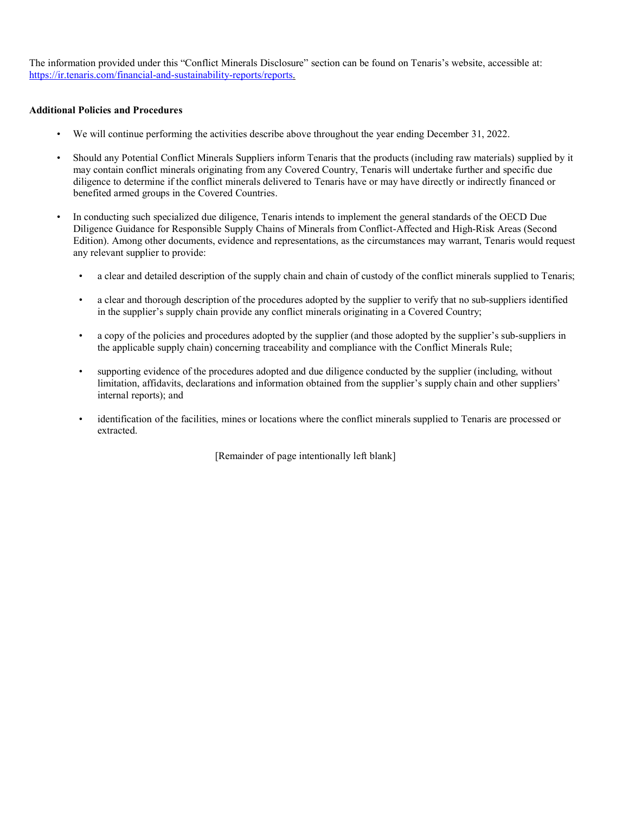The information provided under this "Conflict Minerals Disclosure" section can be found on Tenaris's website, accessible at: https://ir.tenaris.com/financial-and-sustainability-reports/reports.

#### Additional Policies and Procedures

- We will continue performing the activities describe above throughout the year ending December 31, 2022.
- Should any Potential Conflict Minerals Suppliers inform Tenaris that the products (including raw materials) supplied by it may contain conflict minerals originating from any Covered Country, Tenaris will undertake further and specific due diligence to determine if the conflict minerals delivered to Tenaris have or may have directly or indirectly financed or benefited armed groups in the Covered Countries.
- In conducting such specialized due diligence, Tenaris intends to implement the general standards of the OECD Due Diligence Guidance for Responsible Supply Chains of Minerals from Conflict-Affected and High-Risk Areas (Second Edition). Among other documents, evidence and representations, as the circumstances may warrant, Tenaris would request any relevant supplier to provide:
	- a clear and detailed description of the supply chain and chain of custody of the conflict minerals supplied to Tenaris;
	- a clear and thorough description of the procedures adopted by the supplier to verify that no sub-suppliers identified in the supplier's supply chain provide any conflict minerals originating in a Covered Country;
	- a copy of the policies and procedures adopted by the supplier (and those adopted by the supplier's sub-suppliers in the applicable supply chain) concerning traceability and compliance with the Conflict Minerals Rule;
	- supporting evidence of the procedures adopted and due diligence conducted by the supplier (including, without limitation, affidavits, declarations and information obtained from the supplier's supply chain and other suppliers' internal reports); and
	- identification of the facilities, mines or locations where the conflict minerals supplied to Tenaris are processed or extracted.

[Remainder of page intentionally left blank]